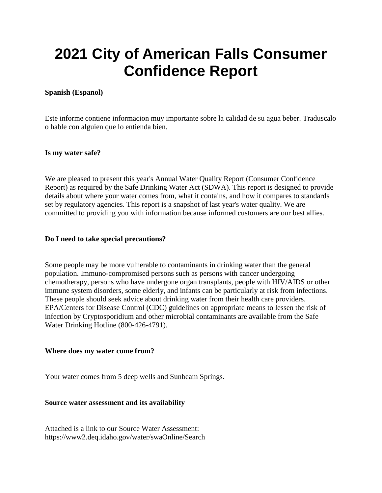# **2021 City of American Falls Consumer Confidence Report**

# **Spanish (Espanol)**

Este informe contiene informacion muy importante sobre la calidad de su agua beber. Traduscalo o hable con alguien que lo entienda bien.

## **Is my water safe?**

We are pleased to present this year's Annual Water Quality Report (Consumer Confidence Report) as required by the Safe Drinking Water Act (SDWA). This report is designed to provide details about where your water comes from, what it contains, and how it compares to standards set by regulatory agencies. This report is a snapshot of last year's water quality. We are committed to providing you with information because informed customers are our best allies.

#### **Do I need to take special precautions?**

Some people may be more vulnerable to contaminants in drinking water than the general population. Immuno-compromised persons such as persons with cancer undergoing chemotherapy, persons who have undergone organ transplants, people with HIV/AIDS or other immune system disorders, some elderly, and infants can be particularly at risk from infections. These people should seek advice about drinking water from their health care providers. EPA/Centers for Disease Control (CDC) guidelines on appropriate means to lessen the risk of infection by Cryptosporidium and other microbial contaminants are available from the Safe Water Drinking Hotline (800-426-4791).

#### **Where does my water come from?**

Your water comes from 5 deep wells and Sunbeam Springs.

## **Source water assessment and its availability**

Attached is a link to our Source Water Assessment: https://www2.deq.idaho.gov/water/swaOnline/Search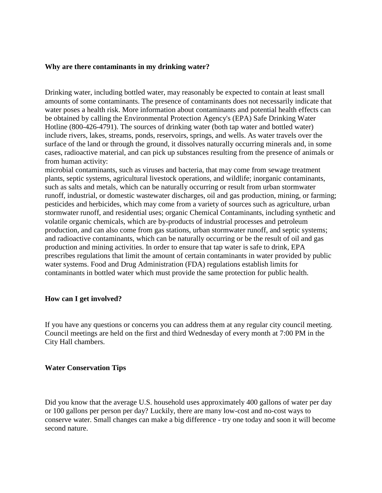#### **Why are there contaminants in my drinking water?**

Drinking water, including bottled water, may reasonably be expected to contain at least small amounts of some contaminants. The presence of contaminants does not necessarily indicate that water poses a health risk. More information about contaminants and potential health effects can be obtained by calling the Environmental Protection Agency's (EPA) Safe Drinking Water Hotline (800-426-4791). The sources of drinking water (both tap water and bottled water) include rivers, lakes, streams, ponds, reservoirs, springs, and wells. As water travels over the surface of the land or through the ground, it dissolves naturally occurring minerals and, in some cases, radioactive material, and can pick up substances resulting from the presence of animals or from human activity:

microbial contaminants, such as viruses and bacteria, that may come from sewage treatment plants, septic systems, agricultural livestock operations, and wildlife; inorganic contaminants, such as salts and metals, which can be naturally occurring or result from urban stormwater runoff, industrial, or domestic wastewater discharges, oil and gas production, mining, or farming; pesticides and herbicides, which may come from a variety of sources such as agriculture, urban stormwater runoff, and residential uses; organic Chemical Contaminants, including synthetic and volatile organic chemicals, which are by-products of industrial processes and petroleum production, and can also come from gas stations, urban stormwater runoff, and septic systems; and radioactive contaminants, which can be naturally occurring or be the result of oil and gas production and mining activities. In order to ensure that tap water is safe to drink, EPA prescribes regulations that limit the amount of certain contaminants in water provided by public water systems. Food and Drug Administration (FDA) regulations establish limits for contaminants in bottled water which must provide the same protection for public health.

#### **How can I get involved?**

If you have any questions or concerns you can address them at any regular city council meeting. Council meetings are held on the first and third Wednesday of every month at 7:00 PM in the City Hall chambers.

#### **Water Conservation Tips**

Did you know that the average U.S. household uses approximately 400 gallons of water per day or 100 gallons per person per day? Luckily, there are many low-cost and no-cost ways to conserve water. Small changes can make a big difference - try one today and soon it will become second nature.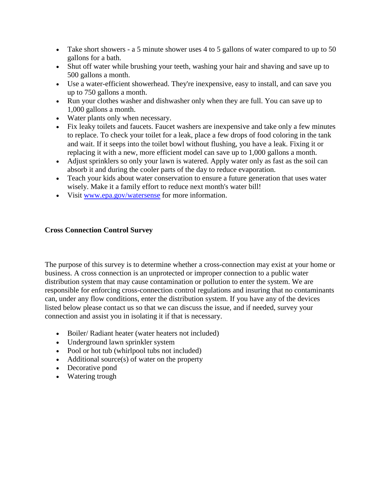- Take short showers a 5 minute shower uses 4 to 5 gallons of water compared to up to 50 gallons for a bath.
- Shut off water while brushing your teeth, washing your hair and shaving and save up to 500 gallons a month.
- Use a water-efficient showerhead. They're inexpensive, easy to install, and can save you up to 750 gallons a month.
- Run your clothes washer and dishwasher only when they are full. You can save up to 1,000 gallons a month.
- Water plants only when necessary.
- Fix leaky toilets and faucets. Faucet washers are inexpensive and take only a few minutes to replace. To check your toilet for a leak, place a few drops of food coloring in the tank and wait. If it seeps into the toilet bowl without flushing, you have a leak. Fixing it or replacing it with a new, more efficient model can save up to 1,000 gallons a month.
- Adjust sprinklers so only your lawn is watered. Apply water only as fast as the soil can absorb it and during the cooler parts of the day to reduce evaporation.
- Teach your kids about water conservation to ensure a future generation that uses water wisely. Make it a family effort to reduce next month's water bill!
- Visit [www.epa.gov/watersense](http://www.epa.gov/watersense) for more information.

# **Cross Connection Control Survey**

The purpose of this survey is to determine whether a cross-connection may exist at your home or business. A cross connection is an unprotected or improper connection to a public water distribution system that may cause contamination or pollution to enter the system. We are responsible for enforcing cross-connection control regulations and insuring that no contaminants can, under any flow conditions, enter the distribution system. If you have any of the devices listed below please contact us so that we can discuss the issue, and if needed, survey your connection and assist you in isolating it if that is necessary.

- Boiler/ Radiant heater (water heaters not included)
- Underground lawn sprinkler system
- Pool or hot tub (whirlpool tubs not included)
- Additional source(s) of water on the property
- Decorative pond
- Watering trough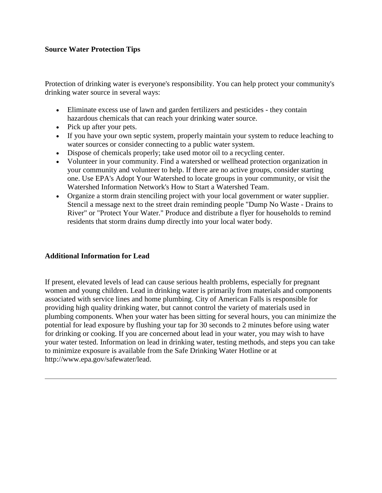# **Source Water Protection Tips**

Protection of drinking water is everyone's responsibility. You can help protect your community's drinking water source in several ways:

- Eliminate excess use of lawn and garden fertilizers and pesticides they contain hazardous chemicals that can reach your drinking water source.
- Pick up after your pets.
- If you have your own septic system, properly maintain your system to reduce leaching to water sources or consider connecting to a public water system.
- Dispose of chemicals properly; take used motor oil to a recycling center.
- Volunteer in your community. Find a watershed or wellhead protection organization in your community and volunteer to help. If there are no active groups, consider starting one. Use EPA's Adopt Your Watershed to locate groups in your community, or visit the Watershed Information Network's How to Start a Watershed Team.
- Organize a storm drain stenciling project with your local government or water supplier. Stencil a message next to the street drain reminding people "Dump No Waste - Drains to River" or "Protect Your Water." Produce and distribute a flyer for households to remind residents that storm drains dump directly into your local water body.

# **Additional Information for Lead**

If present, elevated levels of lead can cause serious health problems, especially for pregnant women and young children. Lead in drinking water is primarily from materials and components associated with service lines and home plumbing. City of American Falls is responsible for providing high quality drinking water, but cannot control the variety of materials used in plumbing components. When your water has been sitting for several hours, you can minimize the potential for lead exposure by flushing your tap for 30 seconds to 2 minutes before using water for drinking or cooking. If you are concerned about lead in your water, you may wish to have your water tested. Information on lead in drinking water, testing methods, and steps you can take to minimize exposure is available from the Safe Drinking Water Hotline or at http://www.epa.gov/safewater/lead.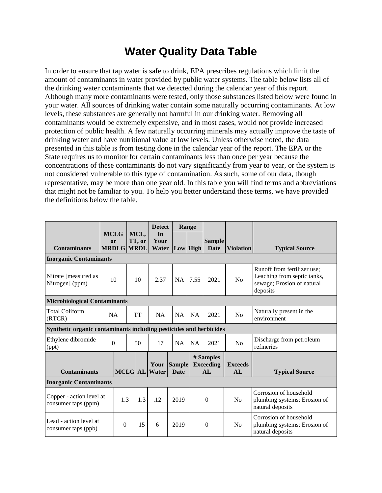# **Water Quality Data Table**

In order to ensure that tap water is safe to drink, EPA prescribes regulations which limit the amount of contaminants in water provided by public water systems. The table below lists all of the drinking water contaminants that we detected during the calendar year of this report. Although many more contaminants were tested, only those substances listed below were found in your water. All sources of drinking water contain some naturally occurring contaminants. At low levels, these substances are generally not harmful in our drinking water. Removing all contaminants would be extremely expensive, and in most cases, would not provide increased protection of public health. A few naturally occurring minerals may actually improve the taste of drinking water and have nutritional value at low levels. Unless otherwise noted, the data presented in this table is from testing done in the calendar year of the report. The EPA or the State requires us to monitor for certain contaminants less than once per year because the concentrations of these contaminants do not vary significantly from year to year, or the system is not considered vulnerable to this type of contamination. As such, some of our data, though representative, may be more than one year old. In this table you will find terms and abbreviations that might not be familiar to you. To help you better understand these terms, we have provided the definitions below the table.

|                                                                    |                   |                   |                | <b>Detect</b>                | Range                        |           |                                     |                      |                                                                                                      |
|--------------------------------------------------------------------|-------------------|-------------------|----------------|------------------------------|------------------------------|-----------|-------------------------------------|----------------------|------------------------------------------------------------------------------------------------------|
| <b>Contaminants</b>                                                | <b>MCLG</b><br>or | <b>MRDLG MRDL</b> | MCL,<br>TT, or | In<br>Your<br>Water          | Low High                     |           | <b>Sample</b><br>Date               | <b>Violation</b>     | <b>Typical Source</b>                                                                                |
| <b>Inorganic Contaminants</b>                                      |                   |                   |                |                              |                              |           |                                     |                      |                                                                                                      |
| Nitrate [measured as<br>Nitrogen] (ppm)                            |                   | 10                | 10             | 2.37                         | <b>NA</b>                    | 7.55      | 2021                                | No                   | Runoff from fertilizer use;<br>Leaching from septic tanks,<br>sewage; Erosion of natural<br>deposits |
| <b>Microbiological Contaminants</b>                                |                   |                   |                |                              |                              |           |                                     |                      |                                                                                                      |
| <b>Total Coliform</b><br>(RTCR)                                    |                   | <b>NA</b>         | <b>TT</b>      | <b>NA</b>                    | <b>NA</b>                    | <b>NA</b> | 2021                                | No                   | Naturally present in the<br>environment                                                              |
| Synthetic organic contaminants including pesticides and herbicides |                   |                   |                |                              |                              |           |                                     |                      |                                                                                                      |
| Ethylene dibromide<br>(ppt)                                        | $\overline{0}$    |                   | 50             | 17                           | <b>NA</b>                    | <b>NA</b> | 2021                                | No                   | Discharge from petroleum<br>refineries                                                               |
| <b>Contaminants</b>                                                |                   |                   |                | Your<br><b>MCLG</b> AL Water | <b>Sample</b><br><b>Date</b> |           | # Samples<br><b>Exceeding</b><br>AL | <b>Exceeds</b><br>AL | <b>Typical Source</b>                                                                                |
| <b>Inorganic Contaminants</b>                                      |                   |                   |                |                              |                              |           |                                     |                      |                                                                                                      |
| Copper - action level at<br>consumer taps (ppm)                    |                   | 1.3               | 1.3            | .12                          | 2019                         |           | $\theta$                            | No                   | Corrosion of household<br>plumbing systems; Erosion of<br>natural deposits                           |
| Lead - action level at<br>consumer taps (ppb)                      |                   | $\boldsymbol{0}$  | 15             | 6                            | 2019                         |           | $\mathbf{0}$                        | N <sub>0</sub>       | Corrosion of household<br>plumbing systems; Erosion of<br>natural deposits                           |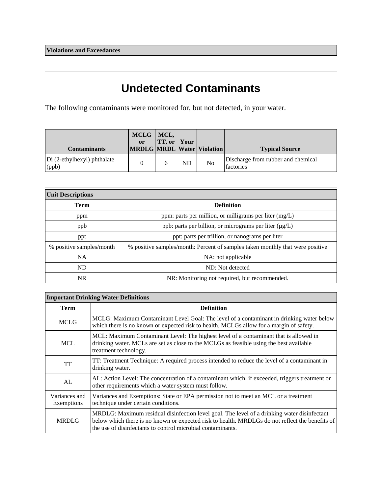# **Undetected Contaminants**

The following contaminants were monitored for, but not detected, in your water.

| <b>Contaminants</b>                    | MCLG<br>or | MCL,<br><b>TT, or   Your</b> |           | MRDLG MRDL Water Violation | <b>Typical Source</b>                                  |
|----------------------------------------|------------|------------------------------|-----------|----------------------------|--------------------------------------------------------|
| $Di$ (2-ethylhexyl) phthalate<br>(ppb) |            |                              | <b>ND</b> | No                         | Discharge from rubber and chemical<br><b>factories</b> |

| <b>Unit Descriptions</b> |                                                                               |  |  |  |
|--------------------------|-------------------------------------------------------------------------------|--|--|--|
| <b>Term</b>              | <b>Definition</b>                                                             |  |  |  |
| ppm                      | ppm: parts per million, or milligrams per liter (mg/L)                        |  |  |  |
| ppb                      | ppb: parts per billion, or micrograms per liter (µg/L)                        |  |  |  |
| ppt                      | ppt: parts per trillion, or nanograms per liter                               |  |  |  |
| % positive samples/month | % positive samples/month: Percent of samples taken monthly that were positive |  |  |  |
| NA.                      | NA: not applicable                                                            |  |  |  |
| <b>ND</b>                | ND: Not detected                                                              |  |  |  |
| NR.                      | NR: Monitoring not required, but recommended.                                 |  |  |  |

| <b>Important Drinking Water Definitions</b> |                                                                                                                                                                                                                                                               |  |  |  |  |
|---------------------------------------------|---------------------------------------------------------------------------------------------------------------------------------------------------------------------------------------------------------------------------------------------------------------|--|--|--|--|
| <b>Term</b>                                 | <b>Definition</b>                                                                                                                                                                                                                                             |  |  |  |  |
| <b>MCLG</b>                                 | MCLG: Maximum Contaminant Level Goal: The level of a contaminant in drinking water below<br>which there is no known or expected risk to health. MCLGs allow for a margin of safety.                                                                           |  |  |  |  |
| <b>MCL</b>                                  | MCL: Maximum Contaminant Level: The highest level of a contaminant that is allowed in<br>drinking water. MCLs are set as close to the MCLGs as feasible using the best available<br>treatment technology.                                                     |  |  |  |  |
| <b>TT</b>                                   | TT: Treatment Technique: A required process intended to reduce the level of a contaminant in<br>drinking water.                                                                                                                                               |  |  |  |  |
| AL                                          | AL: Action Level: The concentration of a contaminant which, if exceeded, triggers treatment or<br>other requirements which a water system must follow.                                                                                                        |  |  |  |  |
| Variances and<br>Exemptions                 | Variances and Exemptions: State or EPA permission not to meet an MCL or a treatment<br>technique under certain conditions.                                                                                                                                    |  |  |  |  |
| <b>MRDLG</b>                                | MRDLG: Maximum residual disinfection level goal. The level of a drinking water disinfectant<br>below which there is no known or expected risk to health. MRDLGs do not reflect the benefits of<br>the use of disinfectants to control microbial contaminants. |  |  |  |  |